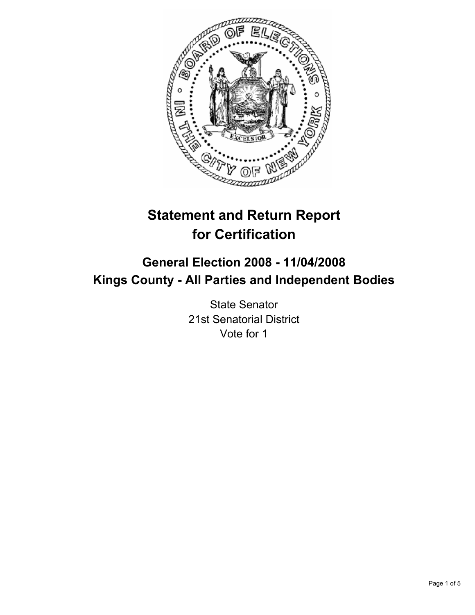

# **Statement and Return Report for Certification**

# **General Election 2008 - 11/04/2008 Kings County - All Parties and Independent Bodies**

State Senator 21st Senatorial District Vote for 1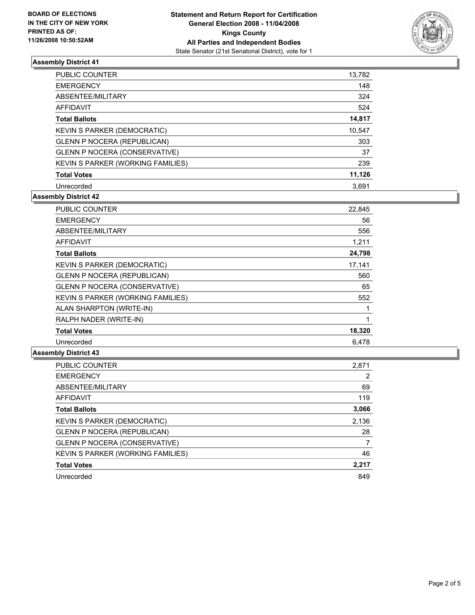

# **Assembly District 41**

| <b>PUBLIC COUNTER</b>                | 13,782 |
|--------------------------------------|--------|
| <b>EMERGENCY</b>                     | 148    |
| ABSENTEE/MILITARY                    | 324    |
| AFFIDAVIT                            | 524    |
| <b>Total Ballots</b>                 | 14,817 |
| KEVIN S PARKER (DEMOCRATIC)          | 10,547 |
| <b>GLENN P NOCERA (REPUBLICAN)</b>   | 303    |
| <b>GLENN P NOCERA (CONSERVATIVE)</b> | 37     |
| KEVIN S PARKER (WORKING FAMILIES)    | 239    |
| <b>Total Votes</b>                   | 11,126 |
| Unrecorded                           | 3.691  |

# **Assembly District 42**

| <b>PUBLIC COUNTER</b>                | 22,845 |
|--------------------------------------|--------|
| <b>EMERGENCY</b>                     | 56     |
| ABSENTEE/MILITARY                    | 556    |
| <b>AFFIDAVIT</b>                     | 1,211  |
| <b>Total Ballots</b>                 | 24,798 |
| <b>KEVIN S PARKER (DEMOCRATIC)</b>   | 17,141 |
| <b>GLENN P NOCERA (REPUBLICAN)</b>   | 560    |
| <b>GLENN P NOCERA (CONSERVATIVE)</b> | 65     |
| KEVIN S PARKER (WORKING FAMILIES)    | 552    |
| ALAN SHARPTON (WRITE-IN)             |        |
| RALPH NADER (WRITE-IN)               |        |
| <b>Total Votes</b>                   | 18,320 |
| Unrecorded                           | 6,478  |

#### **Assembly District 43**

| 2,871 |
|-------|
| 2     |
| 69    |
| 119   |
| 3,066 |
| 2,136 |
| 28    |
|       |
| 46    |
| 2,217 |
| 849   |
|       |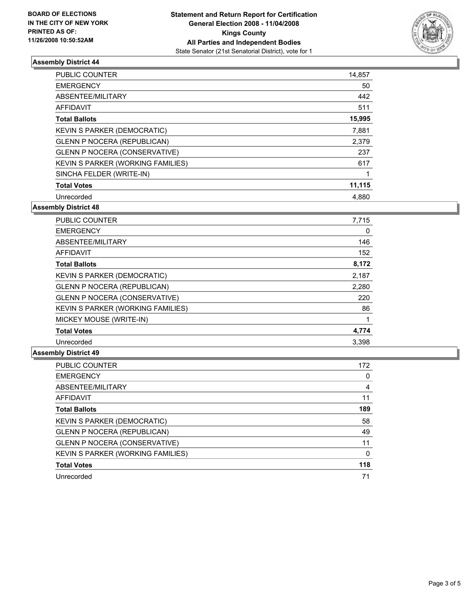

# **Assembly District 44**

| <b>PUBLIC COUNTER</b>                | 14,857 |
|--------------------------------------|--------|
| <b>EMERGENCY</b>                     | 50     |
| ABSENTEE/MILITARY                    | 442    |
| <b>AFFIDAVIT</b>                     | 511    |
| <b>Total Ballots</b>                 | 15,995 |
| KEVIN S PARKER (DEMOCRATIC)          | 7,881  |
| <b>GLENN P NOCERA (REPUBLICAN)</b>   | 2,379  |
| <b>GLENN P NOCERA (CONSERVATIVE)</b> | 237    |
| KEVIN S PARKER (WORKING FAMILIES)    | 617    |
| SINCHA FELDER (WRITE-IN)             |        |
| <b>Total Votes</b>                   | 11,115 |
| Unrecorded                           | 4,880  |

**Assembly District 48**

| PUBLIC COUNTER                       | 7,715 |
|--------------------------------------|-------|
| <b>EMERGENCY</b>                     | 0     |
| ABSENTEE/MILITARY                    | 146   |
| <b>AFFIDAVIT</b>                     | 152   |
| <b>Total Ballots</b>                 | 8,172 |
| <b>KEVIN S PARKER (DEMOCRATIC)</b>   | 2,187 |
| <b>GLENN P NOCERA (REPUBLICAN)</b>   | 2,280 |
| <b>GLENN P NOCERA (CONSERVATIVE)</b> | 220   |
| KEVIN S PARKER (WORKING FAMILIES)    | 86    |
| MICKEY MOUSE (WRITE-IN)              |       |
| <b>Total Votes</b>                   | 4,774 |
| Unrecorded                           | 3.398 |

#### **Assembly District 49**

| PUBLIC COUNTER                       | 172 |
|--------------------------------------|-----|
| <b>EMERGENCY</b>                     |     |
| ABSENTEE/MILITARY                    | 4   |
| <b>AFFIDAVIT</b>                     | 11  |
| <b>Total Ballots</b>                 | 189 |
| KEVIN S PARKER (DEMOCRATIC)          | 58  |
| <b>GLENN P NOCERA (REPUBLICAN)</b>   | 49  |
| <b>GLENN P NOCERA (CONSERVATIVE)</b> | 11  |
| KEVIN S PARKER (WORKING FAMILIES)    |     |
| <b>Total Votes</b>                   | 118 |
| Unrecorded                           | 71  |
|                                      |     |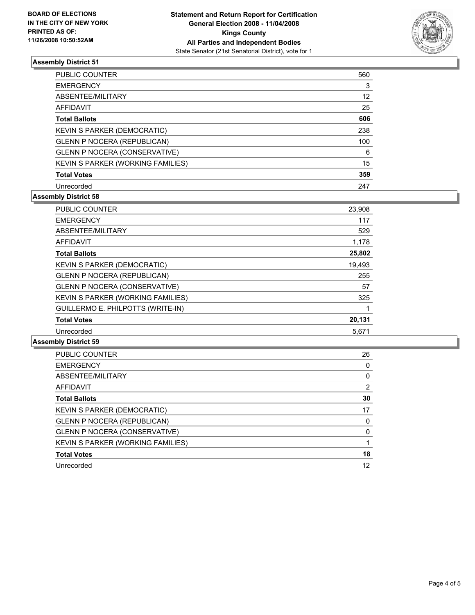

# **Assembly District 51**

| PUBLIC COUNTER                       | 560 |
|--------------------------------------|-----|
| <b>EMERGENCY</b>                     | 3   |
| ABSENTEE/MILITARY                    | 12  |
| AFFIDAVIT                            | 25  |
| <b>Total Ballots</b>                 | 606 |
| KEVIN S PARKER (DEMOCRATIC)          | 238 |
| <b>GLENN P NOCERA (REPUBLICAN)</b>   | 100 |
| <b>GLENN P NOCERA (CONSERVATIVE)</b> | 6   |
| KEVIN S PARKER (WORKING FAMILIES)    | 15  |
| <b>Total Votes</b>                   | 359 |
| Unrecorded                           | 247 |

# **Assembly District 58**

| PUBLIC COUNTER                       | 23,908 |
|--------------------------------------|--------|
| <b>EMERGENCY</b>                     | 117    |
| ABSENTEE/MILITARY                    | 529    |
| <b>AFFIDAVIT</b>                     | 1,178  |
| <b>Total Ballots</b>                 | 25,802 |
| <b>KEVIN S PARKER (DEMOCRATIC)</b>   | 19,493 |
| <b>GLENN P NOCERA (REPUBLICAN)</b>   | 255    |
| <b>GLENN P NOCERA (CONSERVATIVE)</b> | 57     |
| KEVIN S PARKER (WORKING FAMILIES)    | 325    |
| GUILLERMO E. PHILPOTTS (WRITE-IN)    |        |
| <b>Total Votes</b>                   | 20,131 |
| Unrecorded                           | 5,671  |

### **Assembly District 59**

| PUBLIC COUNTER                       | 26 |
|--------------------------------------|----|
| <b>EMERGENCY</b>                     |    |
| ABSENTEE/MILITARY                    |    |
| AFFIDAVIT                            | 2  |
| <b>Total Ballots</b>                 | 30 |
| KEVIN S PARKER (DEMOCRATIC)          | 17 |
| <b>GLENN P NOCERA (REPUBLICAN)</b>   |    |
| <b>GLENN P NOCERA (CONSERVATIVE)</b> |    |
| KEVIN S PARKER (WORKING FAMILIES)    |    |
| <b>Total Votes</b>                   | 18 |
| Unrecorded                           | 12 |